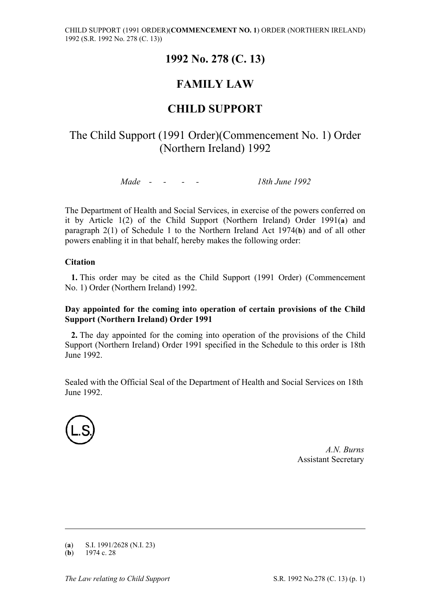## **1992 No. 278 (C. 13)**

# **FAMILY LAW**

## **CHILD SUPPORT**

## The Child Support (1991 Order)(Commencement No. 1) Order (Northern Ireland) 1992

*Made - - - - 18th June 1992* 

The Department of Health and Social Services, in exercise of the powers conferred on it by Article 1(2) of the Child Support (Northern Ireland) Order 1991(**a**) and paragraph 2(1) of Schedule 1 to the Northern Ireland Act 1974(**b**) and of all other powers enabling it in that behalf, hereby makes the following order:

## **Citation**

**1.** This order may be cited as the Child Support (1991 Order) (Commencement No. 1) Order (Northern Ireland) 1992.

#### **Day appointed for the coming into operation of certain provisions of the Child Support (Northern Ireland) Order 1991**

**2.** The day appointed for the coming into operation of the provisions of the Child Support (Northern Ireland) Order 1991 specified in the Schedule to this order is 18th June 1992.

Sealed with the Official Seal of the Department of Health and Social Services on 18th June 1992.



*A.N. Burns* Assistant Secretary

-

<sup>(</sup>**a**) S.I. 1991/2628 (N.I. 23)

 $(b)$  1974 c. 28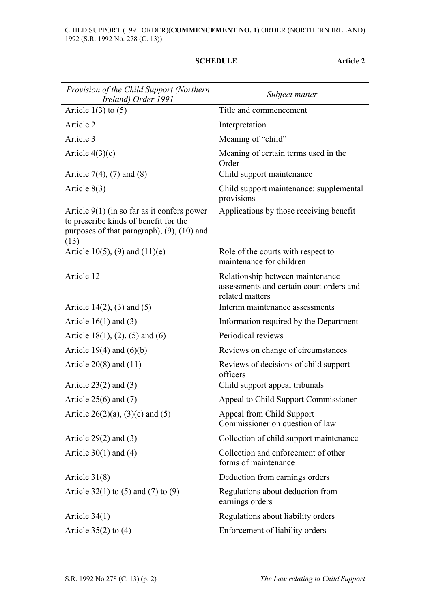#### **SCHEDULE Article 2**

| Provision of the Child Support (Northern<br>Ireland) Order 1991                                                                                   | Subject matter                                                                                  |
|---------------------------------------------------------------------------------------------------------------------------------------------------|-------------------------------------------------------------------------------------------------|
| Article $1(3)$ to $(5)$                                                                                                                           | Title and commencement                                                                          |
| Article 2                                                                                                                                         | Interpretation                                                                                  |
| Article 3                                                                                                                                         | Meaning of "child"                                                                              |
| Article $4(3)(c)$                                                                                                                                 | Meaning of certain terms used in the<br>Order                                                   |
| Article 7(4), (7) and (8)                                                                                                                         | Child support maintenance                                                                       |
| Article $8(3)$                                                                                                                                    | Child support maintenance: supplemental<br>provisions                                           |
| Article $9(1)$ (in so far as it confers power<br>to prescribe kinds of benefit for the<br>purposes of that paragraph), $(9)$ , $(10)$ and<br>(13) | Applications by those receiving benefit                                                         |
| Article 10(5), (9) and $(11)(e)$                                                                                                                  | Role of the courts with respect to<br>maintenance for children                                  |
| Article 12                                                                                                                                        | Relationship between maintenance<br>assessments and certain court orders and<br>related matters |
| Article $14(2)$ , (3) and (5)                                                                                                                     | Interim maintenance assessments                                                                 |
| Article $16(1)$ and $(3)$                                                                                                                         | Information required by the Department                                                          |
| Article 18(1), (2), (5) and (6)                                                                                                                   | Periodical reviews                                                                              |
| Article 19(4) and $(6)(b)$                                                                                                                        | Reviews on change of circumstances                                                              |
| Article $20(8)$ and $(11)$                                                                                                                        | Reviews of decisions of child support<br>officers                                               |
| Article $23(2)$ and $(3)$                                                                                                                         | Child support appeal tribunals                                                                  |
| Article $25(6)$ and $(7)$                                                                                                                         | Appeal to Child Support Commissioner                                                            |
| Article 26(2)(a), (3)(c) and (5)                                                                                                                  | Appeal from Child Support<br>Commissioner on question of law                                    |
| Article $29(2)$ and $(3)$                                                                                                                         | Collection of child support maintenance                                                         |
| Article $30(1)$ and $(4)$                                                                                                                         | Collection and enforcement of other<br>forms of maintenance                                     |
| Article $31(8)$                                                                                                                                   | Deduction from earnings orders                                                                  |
| Article $32(1)$ to (5) and (7) to (9)                                                                                                             | Regulations about deduction from<br>earnings orders                                             |
| Article $34(1)$                                                                                                                                   | Regulations about liability orders                                                              |
| Article $35(2)$ to $(4)$                                                                                                                          | Enforcement of liability orders                                                                 |